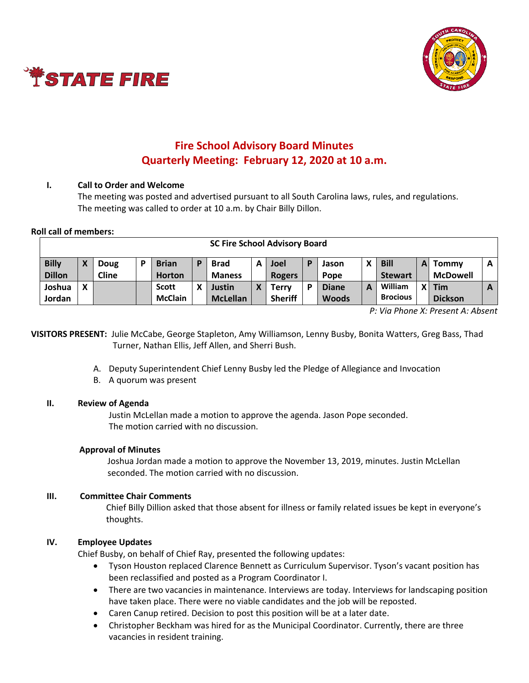



# **Fire School Advisory Board Minutes Quarterly Meeting: February 12, 2020 at 10 a.m.**

#### **I. Call to Order and Welcome**

The meeting was posted and advertised pursuant to all South Carolina laws, rules, and regulations. The meeting was called to order at 10 a.m. by Chair Billy Dillon.

#### **Roll call of members:**

| <b>SC Fire School Advisory Board</b> |   |              |  |                |   |                 |   |                |   |              |   |                 |              |                 |   |
|--------------------------------------|---|--------------|--|----------------|---|-----------------|---|----------------|---|--------------|---|-----------------|--------------|-----------------|---|
| <b>Billy</b>                         |   | Doug         |  | <b>Brian</b>   | D | <b>Brad</b>     | A | Joel           | P | Jason        | X | <b>Bill</b>     | $\mathbf{A}$ | Tommy           | A |
| <b>Dillon</b>                        |   | <b>Cline</b> |  | <b>Horton</b>  |   | <b>Maness</b>   |   | <b>Rogers</b>  |   | Pope         |   | <b>Stewart</b>  |              | <b>McDowell</b> |   |
| Joshua                               | X |              |  | <b>Scott</b>   | χ | Justin          | Χ | Terrv          | D | <b>Diane</b> | A | William         |              | <b>Tim</b>      | A |
| Jordan                               |   |              |  | <b>McClain</b> |   | <b>McLellan</b> |   | <b>Sheriff</b> |   | <b>Woods</b> |   | <b>Brocious</b> |              | <b>Dickson</b>  |   |

*P: Via Phone X: Present A: Absent*

**VISITORS PRESENT:** Julie McCabe, George Stapleton, Amy Williamson, Lenny Busby, Bonita Watters, Greg Bass, Thad Turner, Nathan Ellis, Jeff Allen, and Sherri Bush.

- A. Deputy Superintendent Chief Lenny Busby led the Pledge of Allegiance and Invocation
- B. A quorum was present

#### **II. Review of Agenda**

Justin McLellan made a motion to approve the agenda. Jason Pope seconded. The motion carried with no discussion.

#### **Approval of Minutes**

Joshua Jordan made a motion to approve the November 13, 2019, minutes. Justin McLellan seconded. The motion carried with no discussion.

#### **III. Committee Chair Comments**

Chief Billy Dillion asked that those absent for illness or family related issues be kept in everyone's thoughts.

#### **IV. Employee Updates**

Chief Busby, on behalf of Chief Ray, presented the following updates:

- Tyson Houston replaced Clarence Bennett as Curriculum Supervisor. Tyson's vacant position has been reclassified and posted as a Program Coordinator I.
- There are two vacancies in maintenance. Interviews are today. Interviews for landscaping position have taken place. There were no viable candidates and the job will be reposted.
- Caren Canup retired. Decision to post this position will be at a later date.
- Christopher Beckham was hired for as the Municipal Coordinator. Currently, there are three vacancies in resident training.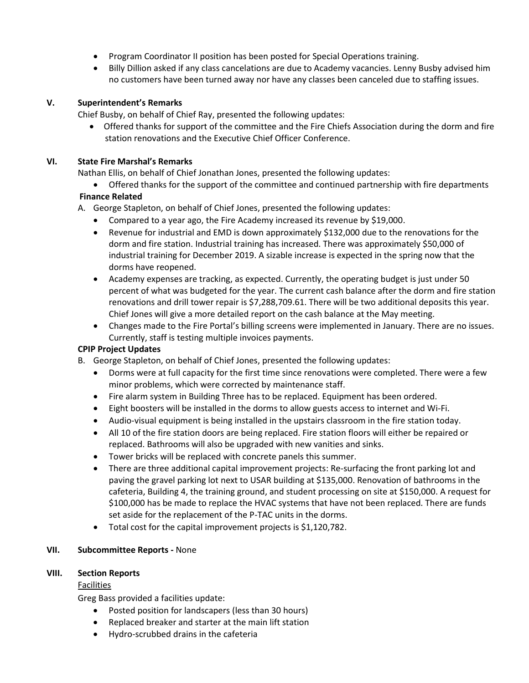- Program Coordinator II position has been posted for Special Operations training.
- Billy Dillion asked if any class cancelations are due to Academy vacancies. Lenny Busby advised him no customers have been turned away nor have any classes been canceled due to staffing issues.

## **V. Superintendent's Remarks**

Chief Busby, on behalf of Chief Ray, presented the following updates:

• Offered thanks for support of the committee and the Fire Chiefs Association during the dorm and fire station renovations and the Executive Chief Officer Conference.

## **VI. State Fire Marshal's Remarks**

Nathan Ellis, on behalf of Chief Jonathan Jones, presented the following updates:

• Offered thanks for the support of the committee and continued partnership with fire departments

## **Finance Related**

- A. George Stapleton, on behalf of Chief Jones, presented the following updates:
	- Compared to a year ago, the Fire Academy increased its revenue by \$19,000.
	- Revenue for industrial and EMD is down approximately \$132,000 due to the renovations for the dorm and fire station. Industrial training has increased. There was approximately \$50,000 of industrial training for December 2019. A sizable increase is expected in the spring now that the dorms have reopened.
	- Academy expenses are tracking, as expected. Currently, the operating budget is just under 50 percent of what was budgeted for the year. The current cash balance after the dorm and fire station renovations and drill tower repair is \$7,288,709.61. There will be two additional deposits this year. Chief Jones will give a more detailed report on the cash balance at the May meeting.
	- Changes made to the Fire Portal's billing screens were implemented in January. There are no issues. Currently, staff is testing multiple invoices payments.

## **CPIP Project Updates**

- B. George Stapleton, on behalf of Chief Jones, presented the following updates:
	- Dorms were at full capacity for the first time since renovations were completed. There were a few minor problems, which were corrected by maintenance staff.
	- Fire alarm system in Building Three has to be replaced. Equipment has been ordered.
	- Eight boosters will be installed in the dorms to allow guests access to internet and Wi-Fi.
	- Audio-visual equipment is being installed in the upstairs classroom in the fire station today.
	- All 10 of the fire station doors are being replaced. Fire station floors will either be repaired or replaced. Bathrooms will also be upgraded with new vanities and sinks.
	- Tower bricks will be replaced with concrete panels this summer.
	- There are three additional capital improvement projects: Re-surfacing the front parking lot and paving the gravel parking lot next to USAR building at \$135,000. Renovation of bathrooms in the cafeteria, Building 4, the training ground, and student processing on site at \$150,000. A request for \$100,000 has be made to replace the HVAC systems that have not been replaced. There are funds set aside for the replacement of the P-TAC units in the dorms.
	- Total cost for the capital improvement projects is \$1,120,782.

## **VII. Subcommittee Reports -** None

#### **VIII. Section Reports**

#### **Facilities**

Greg Bass provided a facilities update:

- Posted position for landscapers (less than 30 hours)
- Replaced breaker and starter at the main lift station
- Hydro-scrubbed drains in the cafeteria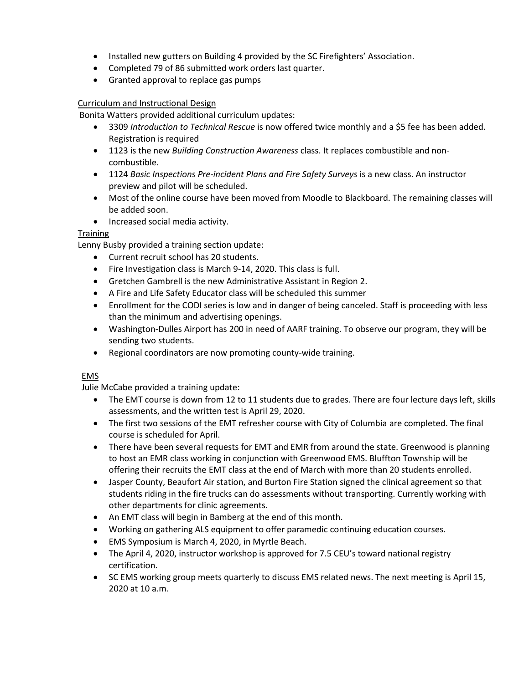- Installed new gutters on Building 4 provided by the SC Firefighters' Association.
- Completed 79 of 86 submitted work orders last quarter.
- Granted approval to replace gas pumps

## Curriculum and Instructional Design

Bonita Watters provided additional curriculum updates:

- 3309 *Introduction to Technical Rescue* is now offered twice monthly and a \$5 fee has been added. Registration is required
- 1123 is the new *Building Construction Awareness* class. It replaces combustible and noncombustible.
- 1124 *Basic Inspections Pre-incident Plans and Fire Safety Surveys* is a new class. An instructor preview and pilot will be scheduled.
- Most of the online course have been moved from Moodle to Blackboard. The remaining classes will be added soon.
- Increased social media activity.

## **Training**

Lenny Busby provided a training section update:

- Current recruit school has 20 students.
- Fire Investigation class is March 9-14, 2020. This class is full.
- Gretchen Gambrell is the new Administrative Assistant in Region 2.
- A Fire and Life Safety Educator class will be scheduled this summer
- Enrollment for the CODI series is low and in danger of being canceled. Staff is proceeding with less than the minimum and advertising openings.
- Washington-Dulles Airport has 200 in need of AARF training. To observe our program, they will be sending two students.
- Regional coordinators are now promoting county-wide training.

## EMS

Julie McCabe provided a training update:

- The EMT course is down from 12 to 11 students due to grades. There are four lecture days left, skills assessments, and the written test is April 29, 2020.
- The first two sessions of the EMT refresher course with City of Columbia are completed. The final course is scheduled for April.
- There have been several requests for EMT and EMR from around the state. Greenwood is planning to host an EMR class working in conjunction with Greenwood EMS. Bluffton Township will be offering their recruits the EMT class at the end of March with more than 20 students enrolled.
- Jasper County, Beaufort Air station, and Burton Fire Station signed the clinical agreement so that students riding in the fire trucks can do assessments without transporting. Currently working with other departments for clinic agreements.
- An EMT class will begin in Bamberg at the end of this month.
- Working on gathering ALS equipment to offer paramedic continuing education courses.
- EMS Symposium is March 4, 2020, in Myrtle Beach.
- The April 4, 2020, instructor workshop is approved for 7.5 CEU's toward national registry certification.
- SC EMS working group meets quarterly to discuss EMS related news. The next meeting is April 15, 2020 at 10 a.m.